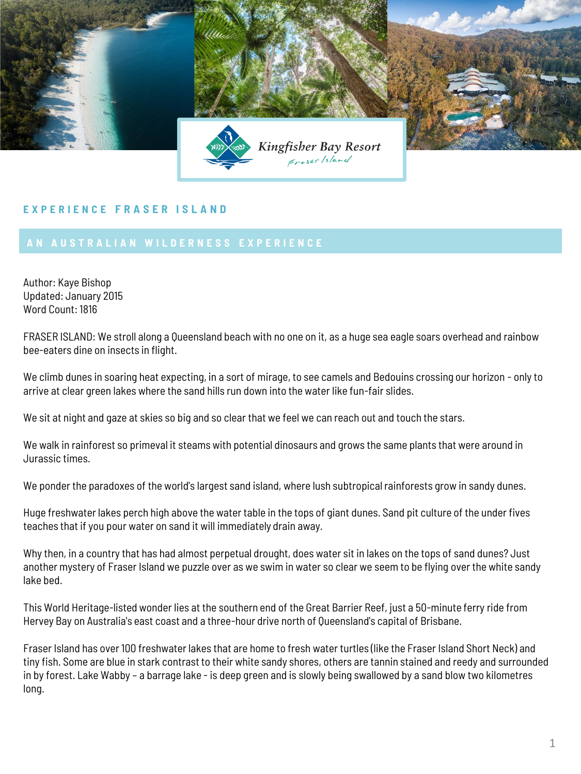

## **E X P E R I E N C E F R A S E R I S L A N D**

Author: Kaye Bishop Updated: January 2015 Word Count: 1816

FRASER ISLAND: We stroll along a Queensland beach with no one on it, as a huge sea eagle soars overhead and rainbow bee-eaters dine on insects in flight.

We climb dunes in soaring heat expecting, in a sort of mirage, to see camels and Bedouins crossing our horizon - only to arrive at clear green lakes where the sand hills run down into the water like fun-fair slides.

We sit at night and gaze at skies so big and so clear that we feel we can reach out and touch the stars.

We walk in rainforest so primeval it steams with potential dinosaurs and grows the same plants that were around in Jurassic times.

We ponder the paradoxes of the world's largest sand island, where lush subtropical rainforests grow in sandy dunes.

Huge freshwater lakes perch high above the water table in the tops of giant dunes. Sand pit culture of the under fives teaches that if you pour water on sand it will immediately drain away.

Why then, in a country that has had almost perpetual drought, does water sit in lakes on the tops of sand dunes? Just another mystery of Fraser Island we puzzle over as we swim in water so clear we seem to be flying over the white sandy lake bed.

This World Heritage-listed wonder lies at the southern end of the Great Barrier Reef, just a 50-minute ferry ride from Hervey Bay on Australia's east coast and a three-hour drive north of Queensland's capital of Brisbane.

Fraser Island has over 100 freshwater lakes that are home to fresh water turtles (like the Fraser Island Short Neck) and tiny fish. Some are blue in stark contrast to their white sandy shores, others are tannin stained and reedy and surrounded in by forest. Lake Wabby – a barrage lake - is deep green and is slowly being swallowed by a sand blow two kilometres long.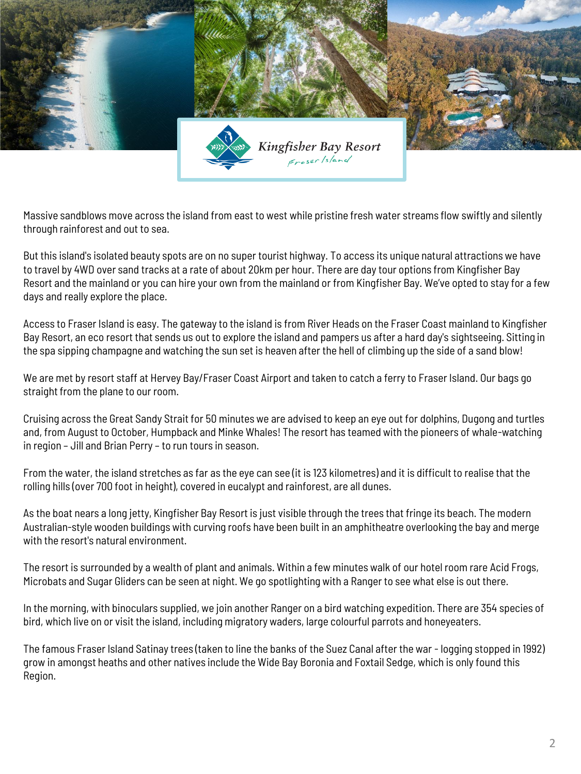

Massive sandblows move across the island from east to west while pristine fresh water streams flow swiftly and silently through rainforest and out to sea.

But this island's isolated beauty spots are on no super tourist highway. To access its unique natural attractions we have to travel by 4WD over sand tracks at a rate of about 20km per hour. There are day tour options from Kingfisher Bay Resort and the mainland or you can hire your own from the mainland or from Kingfisher Bay. We've opted to stay for a few days and really explore the place.

Access to Fraser Island is easy. The gateway to the island is from River Heads on the Fraser Coast mainland to Kingfisher Bay Resort, an eco resort that sends us out to explore the island and pampers us after a hard day's sightseeing. Sitting in the spa sipping champagne and watching the sun set is heaven after the hell of climbing up the side of a sand blow!

We are met by resort staff at Hervey Bay/Fraser Coast Airport and taken to catch a ferry to Fraser Island. Our bags go straight from the plane to our room.

Cruising across the Great Sandy Strait for 50 minutes we are advised to keep an eye out for dolphins, Dugong and turtles and, from August to October, Humpback and Minke Whales! The resort has teamed with the pioneers of whale-watching in region – Jill and Brian Perry – to run tours in season.

From the water, the island stretches as far as the eye can see (it is 123 kilometres) and it is difficult to realise that the rolling hills (over 700 foot in height), covered in eucalypt and rainforest, are all dunes.

As the boat nears a long jetty, Kingfisher Bay Resort is just visible through the trees that fringe its beach. The modern Australian-style wooden buildings with curving roofs have been built in an amphitheatre overlooking the bay and merge with the resort's natural environment.

The resort is surrounded by a wealth of plant and animals. Within a few minutes walk of our hotel room rare Acid Frogs, Microbats and Sugar Gliders can be seen at night. We go spotlighting with a Ranger to see what else is out there.

In the morning, with binoculars supplied, we join another Ranger on a bird watching expedition. There are 354 species of bird, which live on or visit the island, including migratory waders, large colourful parrots and honeyeaters.

The famous Fraser Island Satinay trees (taken to line the banks of the Suez Canal after the war - logging stopped in 1992) grow in amongst heaths and other natives include the Wide Bay Boronia and Foxtail Sedge, which is only found this Region.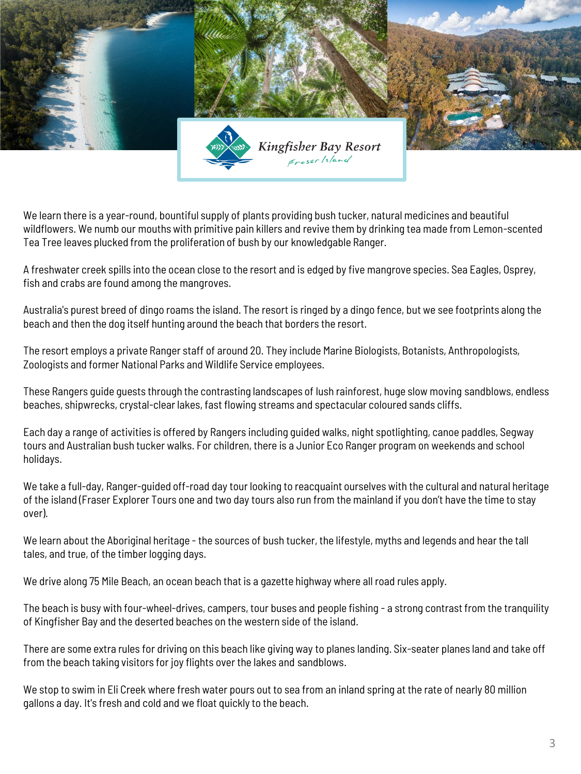

We learn there is a year-round, bountiful supply of plants providing bush tucker, natural medicines and beautiful wildflowers. We numb our mouths with primitive pain killers and revive them by drinking tea made from Lemon-scented Tea Tree leaves plucked from the proliferation of bush by our knowledgable Ranger.

A freshwater creek spills into the ocean close to the resort and is edged by five mangrove species. Sea Eagles, Osprey, fish and crabs are found among the mangroves.

Australia's purest breed of dingo roams the island. The resort is ringed by a dingo fence, but we see footprints along the beach and then the dog itself hunting around the beach that borders the resort.

The resort employs a private Ranger staff of around 20. They include Marine Biologists, Botanists, Anthropologists, Zoologists and former National Parks and Wildlife Service employees.

These Rangers guide guests through the contrasting landscapes of lush rainforest, huge slow moving sandblows, endless beaches, shipwrecks, crystal-clear lakes, fast flowing streams and spectacular coloured sands cliffs.

Each day a range of activities is offered by Rangers including guided walks, night spotlighting, canoe paddles, Segway tours and Australian bush tucker walks. For children, there is a Junior Eco Ranger program on weekends and school holidays.

We take a full-day, Ranger-guided off-road day tour looking to reacquaint ourselves with the cultural and natural heritage of the island (Fraser Explorer Tours one and two day tours also run from the mainland if you don't have the time to stay over).

We learn about the Aboriginal heritage - the sources of bush tucker, the lifestyle, myths and legends and hear the tall tales, and true, of the timber logging days.

We drive along 75 Mile Beach, an ocean beach that is a gazette highway where all road rules apply.

The beach is busy with four-wheel-drives, campers, tour buses and people fishing - a strong contrast from the tranquility of Kingfisher Bay and the deserted beaches on the western side of the island.

There are some extra rules for driving on this beach like giving way to planes landing. Six-seater planes land and take off from the beach taking visitors for joy flights over the lakes and sandblows.

We stop to swim in Eli Creek where fresh water pours out to sea from an inland spring at the rate of nearly 80 million gallons a day. It's fresh and cold and we float quickly to the beach.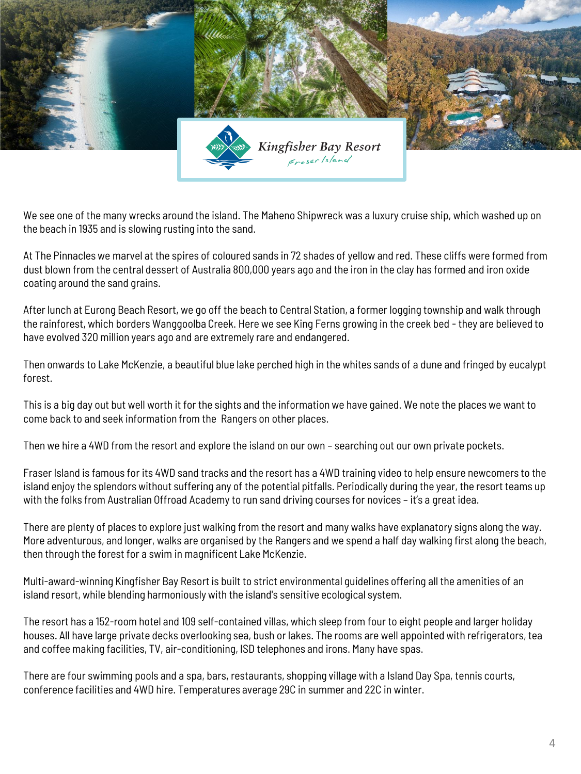

We see one of the many wrecks around the island. The Maheno Shipwreck was a luxury cruise ship, which washed up on the beach in 1935 and is slowing rusting into the sand.

At The Pinnacles we marvel at the spires of coloured sands in 72 shades of yellow and red. These cliffs were formed from dust blown from the central dessert of Australia 800,000 years ago and the iron in the clay has formed and iron oxide coating around the sand grains.

After lunch at Eurong Beach Resort, we go off the beach to Central Station, a former logging township and walk through the rainforest, which borders Wanggoolba Creek. Here we see King Ferns growing in the creek bed - they are believed to have evolved 320 million years ago and are extremely rare and endangered.

Then onwards to Lake McKenzie, a beautiful blue lake perched high in the whites sands of a dune and fringed by eucalypt forest.

This is a big day out but well worth it for the sights and the information we have gained. We note the places we want to come back to and seek information from the Rangers on other places.

Then we hire a 4WD from the resort and explore the island on our own – searching out our own private pockets.

Fraser Island is famous for its 4WD sand tracks and the resort has a 4WD training video to help ensure newcomers to the island enjoy the splendors without suffering any of the potential pitfalls. Periodically during the year, the resort teams up with the folks from Australian Offroad Academy to run sand driving courses for novices – it's a great idea.

There are plenty of places to explore just walking from the resort and many walks have explanatory signs along the way. More adventurous, and longer, walks are organised by the Rangers and we spend a half day walking first along the beach, then through the forest for a swim in magnificent Lake McKenzie.

Multi-award-winning Kingfisher Bay Resort is built to strict environmental guidelines offering all the amenities of an island resort, while blending harmoniously with the island's sensitive ecological system.

The resort has a 152-room hotel and 109 self-contained villas, which sleep from four to eight people and larger holiday houses. All have large private decks overlooking sea, bush or lakes. The rooms are well appointed with refrigerators, tea and coffee making facilities, TV, air-conditioning, ISD telephones and irons. Many have spas.

There are four swimming pools and a spa, bars, restaurants, shopping village with a Island Day Spa, tennis courts, conference facilities and 4WD hire. Temperatures average 29C in summer and 22C in winter.